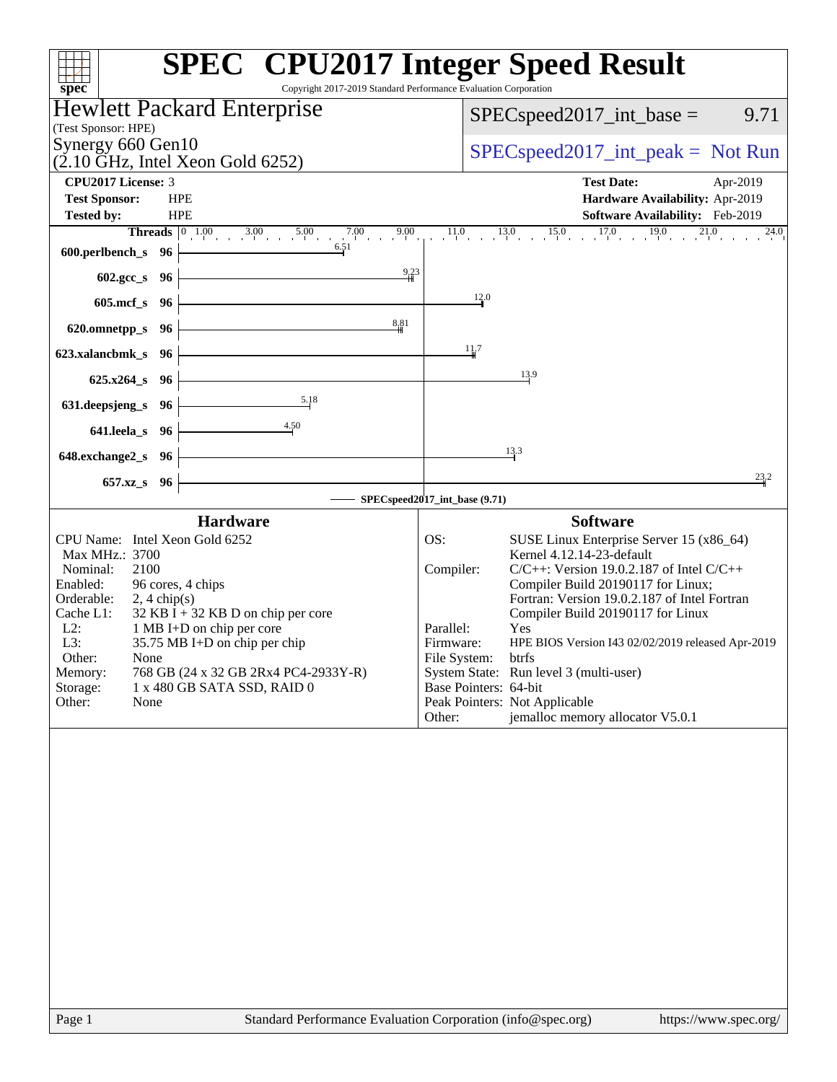| Copyright 2017-2019 Standard Performance Evaluation Corporation<br>spec <sup>®</sup>       | <b>SPEC<sup>®</sup></b> CPU2017 Integer Speed Result                                                                                  |
|--------------------------------------------------------------------------------------------|---------------------------------------------------------------------------------------------------------------------------------------|
| Hewlett Packard Enterprise                                                                 | 9.71<br>$SPEC speed2017\_int\_base =$                                                                                                 |
| (Test Sponsor: HPE)                                                                        |                                                                                                                                       |
| Synergy 660 Gen10<br>$(2.10 \text{ GHz}, \text{Intel Xeon Gold } 6252)$                    | $SPEC speed2017\_int\_peak = Not Run$                                                                                                 |
| CPU2017 License: 3                                                                         | <b>Test Date:</b><br>Apr-2019                                                                                                         |
| <b>Test Sponsor:</b><br><b>HPE</b><br><b>Tested by:</b><br><b>HPE</b>                      | Hardware Availability: Apr-2019<br>Software Availability: Feb-2019                                                                    |
|                                                                                            | <b>Threads</b> $\begin{bmatrix} 0 & 1.00 & 3.00 & 5.00 & 7.00 & 9.00 & 11.0 & 13.0 & 15.0 & 17.0 & 19.0 & 21.0 \end{bmatrix}$<br>24.0 |
| 6.51<br>600.perlbench_s 96                                                                 |                                                                                                                                       |
| 9.23<br>602.gcc_s 96                                                                       |                                                                                                                                       |
| 605.mcf_s 96                                                                               | 12.0                                                                                                                                  |
| 8,81<br>620.omnetpp_s 96                                                                   |                                                                                                                                       |
| 623.xalancbmk_s 96                                                                         | 11.7                                                                                                                                  |
| $625.x264_s$ 96                                                                            | 13.9                                                                                                                                  |
| 5.18<br>631.deepsjeng_s 96                                                                 |                                                                                                                                       |
| $\frac{4.50}{4}$                                                                           |                                                                                                                                       |
| $641.$ leela_s $96$                                                                        | 13.3                                                                                                                                  |
| 648.exchange2_s 96                                                                         | 23.2                                                                                                                                  |
| 657.xz_s 96                                                                                | SPECspeed2017_int_base (9.71)                                                                                                         |
| <b>Hardware</b>                                                                            | <b>Software</b>                                                                                                                       |
| CPU Name: Intel Xeon Gold 6252                                                             | OS:<br>SUSE Linux Enterprise Server 15 (x86_64)                                                                                       |
| Max MHz.: 3700<br>2100<br>Nominal:                                                         | Kernel 4.12.14-23-default<br>Compiler:<br>$C/C++$ : Version 19.0.2.187 of Intel $C/C++$                                               |
| 96 cores, 4 chips<br>Enabled:                                                              | Compiler Build 20190117 for Linux;<br>Fortran: Version 19.0.2.187 of Intel Fortran                                                    |
| Orderable:<br>$2, 4 \text{ chip}(s)$<br>$32$ KB I + 32 KB D on chip per core<br>Cache L1:  | Compiler Build 20190117 for Linux                                                                                                     |
| $L2$ :<br>1 MB I+D on chip per core<br>L3:<br>35.75 MB I+D on chip per chip                | Parallel:<br>Yes<br>Firmware:<br>HPE BIOS Version I43 02/02/2019 released Apr-2019                                                    |
| Other:<br>None                                                                             | File System:<br>btrfs                                                                                                                 |
| Memory:<br>768 GB (24 x 32 GB 2Rx4 PC4-2933Y-R)<br>Storage:<br>1 x 480 GB SATA SSD, RAID 0 | System State: Run level 3 (multi-user)<br>Base Pointers: 64-bit                                                                       |
| Other:<br>None                                                                             | Peak Pointers: Not Applicable                                                                                                         |
|                                                                                            | jemalloc memory allocator V5.0.1<br>Other:                                                                                            |
|                                                                                            |                                                                                                                                       |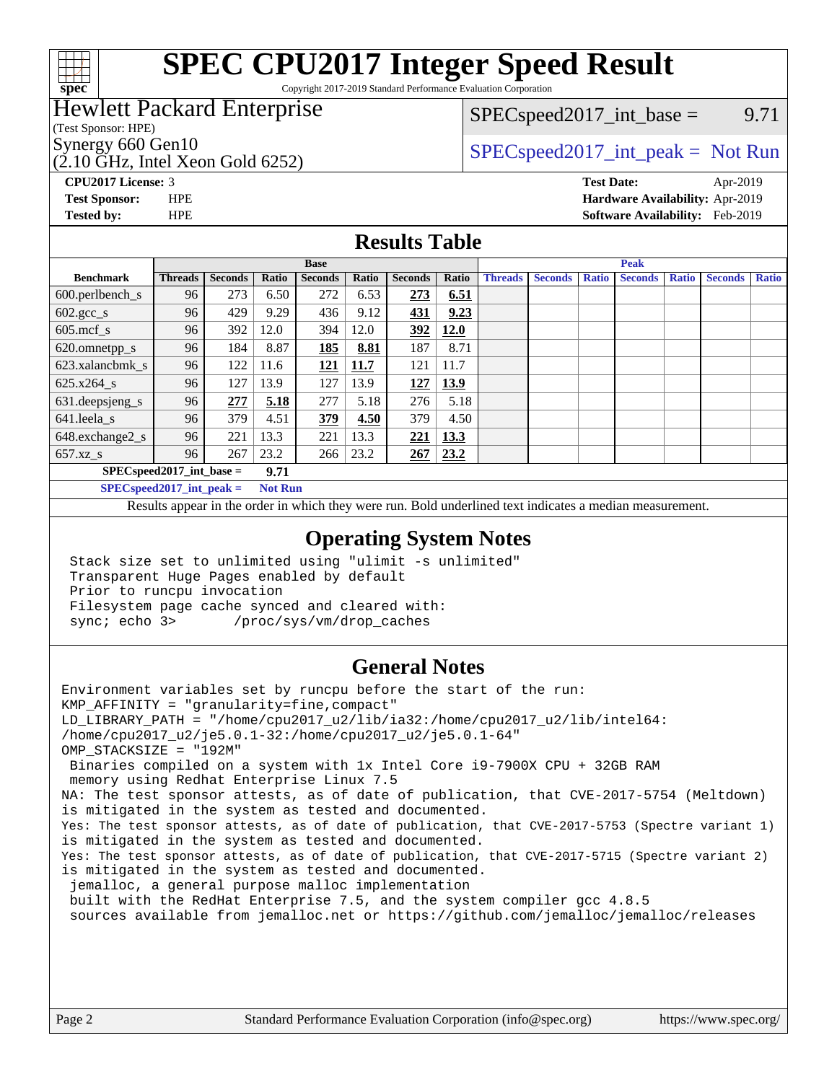

# **[SPEC CPU2017 Integer Speed Result](http://www.spec.org/auto/cpu2017/Docs/result-fields.html#SPECCPU2017IntegerSpeedResult)**

Copyright 2017-2019 Standard Performance Evaluation Corporation

### Hewlett Packard Enterprise

(Test Sponsor: HPE)

(2.10 GHz, Intel Xeon Gold 6252)

 $SPEC speed2017\_int\_base =$  9.71

### Synergy 660 Gen10<br>  $SPEC speed2017\_int\_peak = Not Run$

**[Tested by:](http://www.spec.org/auto/cpu2017/Docs/result-fields.html#Testedby)** HPE **[Software Availability:](http://www.spec.org/auto/cpu2017/Docs/result-fields.html#SoftwareAvailability)** Feb-2019

**[CPU2017 License:](http://www.spec.org/auto/cpu2017/Docs/result-fields.html#CPU2017License)** 3 **[Test Date:](http://www.spec.org/auto/cpu2017/Docs/result-fields.html#TestDate)** Apr-2019 **[Test Sponsor:](http://www.spec.org/auto/cpu2017/Docs/result-fields.html#TestSponsor)** HPE **[Hardware Availability:](http://www.spec.org/auto/cpu2017/Docs/result-fields.html#HardwareAvailability)** Apr-2019

### **[Results Table](http://www.spec.org/auto/cpu2017/Docs/result-fields.html#ResultsTable)**

|                            | <b>Base</b>    |                |              |                |             | <b>Peak</b>    |       |                |                |              |                |              |                |              |
|----------------------------|----------------|----------------|--------------|----------------|-------------|----------------|-------|----------------|----------------|--------------|----------------|--------------|----------------|--------------|
| <b>Benchmark</b>           | <b>Threads</b> | <b>Seconds</b> | <b>Ratio</b> | <b>Seconds</b> | Ratio       | <b>Seconds</b> | Ratio | <b>Threads</b> | <b>Seconds</b> | <b>Ratio</b> | <b>Seconds</b> | <b>Ratio</b> | <b>Seconds</b> | <b>Ratio</b> |
| 600.perlbench_s            | 96             | 273            | 6.50         | 272            | 6.53        | 273            | 6.51  |                |                |              |                |              |                |              |
| $602.\text{gcc}\_\text{s}$ | 96             | 429            | 9.29         | 436            | 9.12        | 431            | 9.23  |                |                |              |                |              |                |              |
| $605$ .mcf s               | 96             | 392            | 12.0         | 394            | 12.0        | 392            | 12.0  |                |                |              |                |              |                |              |
| 620.omnetpp_s              | 96             | 184            | 8.87         | 185            | 8.81        | 187            | 8.71  |                |                |              |                |              |                |              |
| 623.xalancbmk s            | 96             | 122            | 11.6         | 121            | <b>11.7</b> | 121            | 11.7  |                |                |              |                |              |                |              |
| 625.x264 s                 | 96             | 127            | 13.9         | 127            | 13.9        | 127            | 13.9  |                |                |              |                |              |                |              |
| 631.deepsjeng_s            | 96             | 277            | 5.18         | 277            | 5.18        | 276            | 5.18  |                |                |              |                |              |                |              |
| 641.leela s                | 96             | 379            | 4.51         | 379            | 4.50        | 379            | 4.50  |                |                |              |                |              |                |              |
| 648.exchange2_s            | 96             | 221            | 13.3         | 221            | 13.3        | 221            | 13.3  |                |                |              |                |              |                |              |
| $657.xz$ s                 | 96             | 267            | 23.2         | 266            | 23.2        | 267            | 23.2  |                |                |              |                |              |                |              |
| $SPECspeed2017$ int base = |                |                | 9.71         |                |             |                |       |                |                |              |                |              |                |              |

**[SPECspeed2017\\_int\\_peak =](http://www.spec.org/auto/cpu2017/Docs/result-fields.html#SPECspeed2017intpeak) Not Run**

Results appear in the [order in which they were run.](http://www.spec.org/auto/cpu2017/Docs/result-fields.html#RunOrder) Bold underlined text [indicates a median measurement.](http://www.spec.org/auto/cpu2017/Docs/result-fields.html#Median)

### **[Operating System Notes](http://www.spec.org/auto/cpu2017/Docs/result-fields.html#OperatingSystemNotes)**

 Stack size set to unlimited using "ulimit -s unlimited" Transparent Huge Pages enabled by default Prior to runcpu invocation Filesystem page cache synced and cleared with: sync; echo 3> /proc/sys/vm/drop\_caches

### **[General Notes](http://www.spec.org/auto/cpu2017/Docs/result-fields.html#GeneralNotes)**

Environment variables set by runcpu before the start of the run: KMP\_AFFINITY = "granularity=fine,compact" LD\_LIBRARY\_PATH = "/home/cpu2017\_u2/lib/ia32:/home/cpu2017\_u2/lib/intel64: /home/cpu2017\_u2/je5.0.1-32:/home/cpu2017\_u2/je5.0.1-64" OMP\_STACKSIZE = "192M" Binaries compiled on a system with 1x Intel Core i9-7900X CPU + 32GB RAM memory using Redhat Enterprise Linux 7.5 NA: The test sponsor attests, as of date of publication, that CVE-2017-5754 (Meltdown) is mitigated in the system as tested and documented. Yes: The test sponsor attests, as of date of publication, that CVE-2017-5753 (Spectre variant 1) is mitigated in the system as tested and documented. Yes: The test sponsor attests, as of date of publication, that CVE-2017-5715 (Spectre variant 2) is mitigated in the system as tested and documented. jemalloc, a general purpose malloc implementation built with the RedHat Enterprise 7.5, and the system compiler gcc 4.8.5 sources available from jemalloc.net or<https://github.com/jemalloc/jemalloc/releases>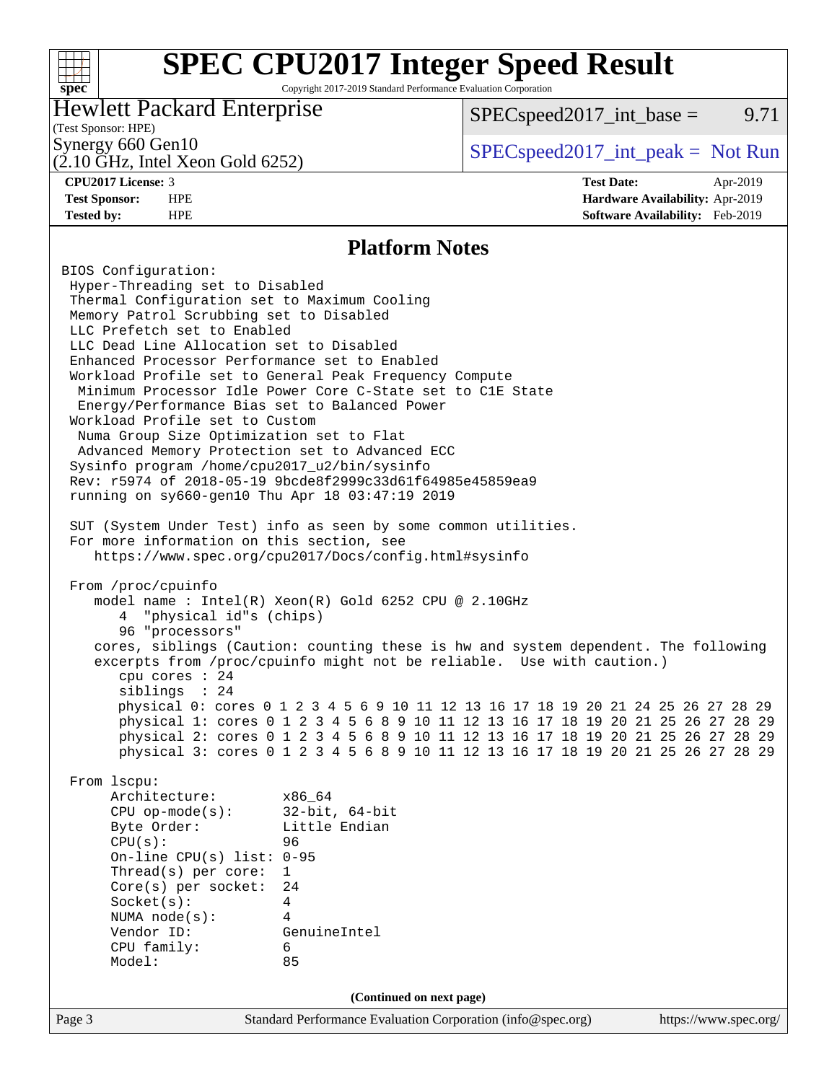#### **[SPEC CPU2017 Integer Speed Result](http://www.spec.org/auto/cpu2017/Docs/result-fields.html#SPECCPU2017IntegerSpeedResult)**  $+\!\!+\!\!$ **[spec](http://www.spec.org/)** Copyright 2017-2019 Standard Performance Evaluation Corporation Hewlett Packard Enterprise  $SPEC speed2017\_int\_base =$  9.71 (Test Sponsor: HPE) Synergy 660 Gen10  $SPEC speed2017\_int\_peak = Not Run$ (2.10 GHz, Intel Xeon Gold 6252) **[CPU2017 License:](http://www.spec.org/auto/cpu2017/Docs/result-fields.html#CPU2017License)** 3 **[Test Date:](http://www.spec.org/auto/cpu2017/Docs/result-fields.html#TestDate)** Apr-2019 **[Test Sponsor:](http://www.spec.org/auto/cpu2017/Docs/result-fields.html#TestSponsor)** HPE **[Hardware Availability:](http://www.spec.org/auto/cpu2017/Docs/result-fields.html#HardwareAvailability)** Apr-2019 **[Tested by:](http://www.spec.org/auto/cpu2017/Docs/result-fields.html#Testedby)** HPE **[Software Availability:](http://www.spec.org/auto/cpu2017/Docs/result-fields.html#SoftwareAvailability)** Feb-2019 **[Platform Notes](http://www.spec.org/auto/cpu2017/Docs/result-fields.html#PlatformNotes)** BIOS Configuration: Hyper-Threading set to Disabled Thermal Configuration set to Maximum Cooling Memory Patrol Scrubbing set to Disabled LLC Prefetch set to Enabled LLC Dead Line Allocation set to Disabled Enhanced Processor Performance set to Enabled Workload Profile set to General Peak Frequency Compute Minimum Processor Idle Power Core C-State set to C1E State Energy/Performance Bias set to Balanced Power Workload Profile set to Custom Numa Group Size Optimization set to Flat Advanced Memory Protection set to Advanced ECC Sysinfo program /home/cpu2017\_u2/bin/sysinfo Rev: r5974 of 2018-05-19 9bcde8f2999c33d61f64985e45859ea9 running on sy660-gen10 Thu Apr 18 03:47:19 2019 SUT (System Under Test) info as seen by some common utilities. For more information on this section, see <https://www.spec.org/cpu2017/Docs/config.html#sysinfo> From /proc/cpuinfo model name : Intel(R) Xeon(R) Gold 6252 CPU @ 2.10GHz 4 "physical id"s (chips) 96 "processors" cores, siblings (Caution: counting these is hw and system dependent. The following excerpts from /proc/cpuinfo might not be reliable. Use with caution.) cpu cores : 24 siblings : 24 physical 0: cores 0 1 2 3 4 5 6 9 10 11 12 13 16 17 18 19 20 21 24 25 26 27 28 29 physical 1: cores 0 1 2 3 4 5 6 8 9 10 11 12 13 16 17 18 19 20 21 25 26 27 28 29 physical 2: cores 0 1 2 3 4 5 6 8 9 10 11 12 13 16 17 18 19 20 21 25 26 27 28 29 physical 3: cores 0 1 2 3 4 5 6 8 9 10 11 12 13 16 17 18 19 20 21 25 26 27 28 29 From lscpu: Architecture: x86\_64 CPU op-mode(s): 32-bit, 64-bit Byte Order: Little Endian CPU(s): 96 On-line CPU(s) list: 0-95 Thread(s) per core: 1 Core(s) per socket: 24 Socket(s): 4 NUMA node(s): 4 Vendor ID: GenuineIntel CPU family: 6 Model: 85

**(Continued on next page)**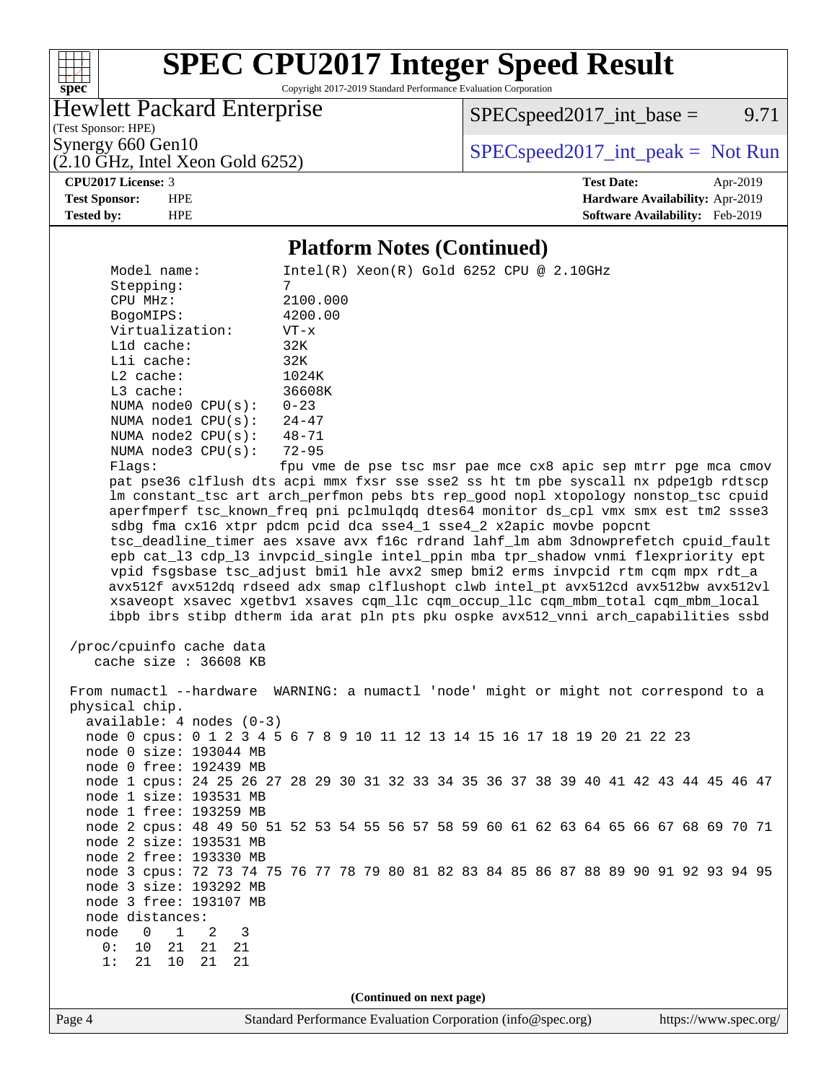### $+\ +$ **[spec](http://www.spec.org/)**

# **[SPEC CPU2017 Integer Speed Result](http://www.spec.org/auto/cpu2017/Docs/result-fields.html#SPECCPU2017IntegerSpeedResult)**

Copyright 2017-2019 Standard Performance Evaluation Corporation

### Hewlett Packard Enterprise

 $SPECspeed2017\_int\_base =$  9.71

(Test Sponsor: HPE)<br>Synergy 660 Gen10

 $SPECspeed2017\_int\_peak = Not Run$ 

## $(2.10 \text{ GHz}, \text{Intel Xeon Gold } 6252)$

#### **[CPU2017 License:](http://www.spec.org/auto/cpu2017/Docs/result-fields.html#CPU2017License)** 3 **[Test Date:](http://www.spec.org/auto/cpu2017/Docs/result-fields.html#TestDate)** Apr-2019 **[Test Sponsor:](http://www.spec.org/auto/cpu2017/Docs/result-fields.html#TestSponsor)** HPE **[Hardware Availability:](http://www.spec.org/auto/cpu2017/Docs/result-fields.html#HardwareAvailability)** Apr-2019 **[Tested by:](http://www.spec.org/auto/cpu2017/Docs/result-fields.html#Testedby)** HPE **[Software Availability:](http://www.spec.org/auto/cpu2017/Docs/result-fields.html#SoftwareAvailability)** Feb-2019

### **[Platform Notes \(Continued\)](http://www.spec.org/auto/cpu2017/Docs/result-fields.html#PlatformNotes)**

|                                                                                      | 1 iailyi in 1 voics (Continueu)                               |  |                          |  |  |  |  |  |                       |
|--------------------------------------------------------------------------------------|---------------------------------------------------------------|--|--------------------------|--|--|--|--|--|-----------------------|
| Model name:                                                                          | $Intel(R) Xeon(R) Gold 6252 CPU @ 2.10GHz$                    |  |                          |  |  |  |  |  |                       |
| Stepping:                                                                            | 7                                                             |  |                          |  |  |  |  |  |                       |
| CPU MHz:                                                                             | 2100.000                                                      |  |                          |  |  |  |  |  |                       |
| BogoMIPS:                                                                            | 4200.00                                                       |  |                          |  |  |  |  |  |                       |
| Virtualization:                                                                      | $VT - x$                                                      |  |                          |  |  |  |  |  |                       |
| Lld cache:                                                                           | 32K                                                           |  |                          |  |  |  |  |  |                       |
| Lli cache:                                                                           | 32K                                                           |  |                          |  |  |  |  |  |                       |
| $L2$ cache:                                                                          | 1024K                                                         |  |                          |  |  |  |  |  |                       |
| L3 cache:                                                                            | 36608K                                                        |  |                          |  |  |  |  |  |                       |
| NUMA node0 CPU(s):                                                                   | $0 - 23$                                                      |  |                          |  |  |  |  |  |                       |
| NUMA nodel CPU(s):                                                                   | $24 - 47$                                                     |  |                          |  |  |  |  |  |                       |
| NUMA $node2$ $CPU(s):$                                                               | $48 - 71$                                                     |  |                          |  |  |  |  |  |                       |
| NUMA node3 CPU(s):                                                                   | $72 - 95$                                                     |  |                          |  |  |  |  |  |                       |
| Flags:                                                                               | fpu vme de pse tsc msr pae mce cx8 apic sep mtrr pge mca cmov |  |                          |  |  |  |  |  |                       |
| pat pse36 clflush dts acpi mmx fxsr sse sse2 ss ht tm pbe syscall nx pdpelgb rdtscp  |                                                               |  |                          |  |  |  |  |  |                       |
| lm constant_tsc art arch_perfmon pebs bts rep_good nopl xtopology nonstop_tsc cpuid  |                                                               |  |                          |  |  |  |  |  |                       |
| aperfmperf tsc_known_freq pni pclmulqdq dtes64 monitor ds_cpl vmx smx est tm2 ssse3  |                                                               |  |                          |  |  |  |  |  |                       |
| sdbg fma cx16 xtpr pdcm pcid dca sse4_1 sse4_2 x2apic movbe popcnt                   |                                                               |  |                          |  |  |  |  |  |                       |
| tsc_deadline_timer aes xsave avx f16c rdrand lahf_lm abm 3dnowprefetch cpuid_fault   |                                                               |  |                          |  |  |  |  |  |                       |
| epb cat_13 cdp_13 invpcid_single intel_ppin mba tpr_shadow vnmi flexpriority ept     |                                                               |  |                          |  |  |  |  |  |                       |
| vpid fsgsbase tsc_adjust bmil hle avx2 smep bmi2 erms invpcid rtm cqm mpx rdt_a      |                                                               |  |                          |  |  |  |  |  |                       |
| avx512f avx512dq rdseed adx smap clflushopt clwb intel_pt avx512cd avx512bw avx512vl |                                                               |  |                          |  |  |  |  |  |                       |
| xsaveopt xsavec xgetbvl xsaves cqm_llc cqm_occup_llc cqm_mbm_total cqm_mbm_local     |                                                               |  |                          |  |  |  |  |  |                       |
| ibpb ibrs stibp dtherm ida arat pln pts pku ospke avx512_vnni arch_capabilities ssbd |                                                               |  |                          |  |  |  |  |  |                       |
|                                                                                      |                                                               |  |                          |  |  |  |  |  |                       |
| /proc/cpuinfo cache data                                                             |                                                               |  |                          |  |  |  |  |  |                       |
| cache size : 36608 KB                                                                |                                                               |  |                          |  |  |  |  |  |                       |
|                                                                                      |                                                               |  |                          |  |  |  |  |  |                       |
| From numactl --hardware WARNING: a numactl 'node' might or might not correspond to a |                                                               |  |                          |  |  |  |  |  |                       |
| physical chip.                                                                       |                                                               |  |                          |  |  |  |  |  |                       |
| $available: 4 nodes (0-3)$                                                           |                                                               |  |                          |  |  |  |  |  |                       |
| node 0 cpus: 0 1 2 3 4 5 6 7 8 9 10 11 12 13 14 15 16 17 18 19 20 21 22 23           |                                                               |  |                          |  |  |  |  |  |                       |
| node 0 size: 193044 MB                                                               |                                                               |  |                          |  |  |  |  |  |                       |
| node 0 free: 192439 MB                                                               |                                                               |  |                          |  |  |  |  |  |                       |
| node 1 cpus: 24 25 26 27 28 29 30 31 32 33 34 35 36 37 38 39 40 41 42 43 44 45 46 47 |                                                               |  |                          |  |  |  |  |  |                       |
| node 1 size: 193531 MB                                                               |                                                               |  |                          |  |  |  |  |  |                       |
| node 1 free: 193259 MB                                                               |                                                               |  |                          |  |  |  |  |  |                       |
|                                                                                      |                                                               |  |                          |  |  |  |  |  |                       |
| node 2 cpus: 48 49 50 51 52 53 54 55 56 57 58 59 60 61 62 63 64 65 66 67 68 69 70 71 |                                                               |  |                          |  |  |  |  |  |                       |
| node 2 size: 193531 MB                                                               |                                                               |  |                          |  |  |  |  |  |                       |
| node 2 free: 193330 MB                                                               |                                                               |  |                          |  |  |  |  |  |                       |
| node 3 cpus: 72 73 74 75 76 77 78 79 80 81 82 83 84 85 86 87 88 89 90 91 92 93 94 95 |                                                               |  |                          |  |  |  |  |  |                       |
| node 3 size: 193292 MB                                                               |                                                               |  |                          |  |  |  |  |  |                       |
| node 3 free: 193107 MB                                                               |                                                               |  |                          |  |  |  |  |  |                       |
| node distances:                                                                      |                                                               |  |                          |  |  |  |  |  |                       |
| node<br>$\mathbf{1}$<br>3<br>0<br>2                                                  |                                                               |  |                          |  |  |  |  |  |                       |
| 21<br>0:<br>10<br>21<br>21                                                           |                                                               |  |                          |  |  |  |  |  |                       |
| 1:<br>$10$<br>21<br>21<br>21                                                         |                                                               |  |                          |  |  |  |  |  |                       |
|                                                                                      |                                                               |  |                          |  |  |  |  |  |                       |
|                                                                                      |                                                               |  | (Continued on next page) |  |  |  |  |  |                       |
| Page 4                                                                               | Standard Performance Evaluation Corporation (info@spec.org)   |  |                          |  |  |  |  |  | https://www.spec.org/ |
|                                                                                      |                                                               |  |                          |  |  |  |  |  |                       |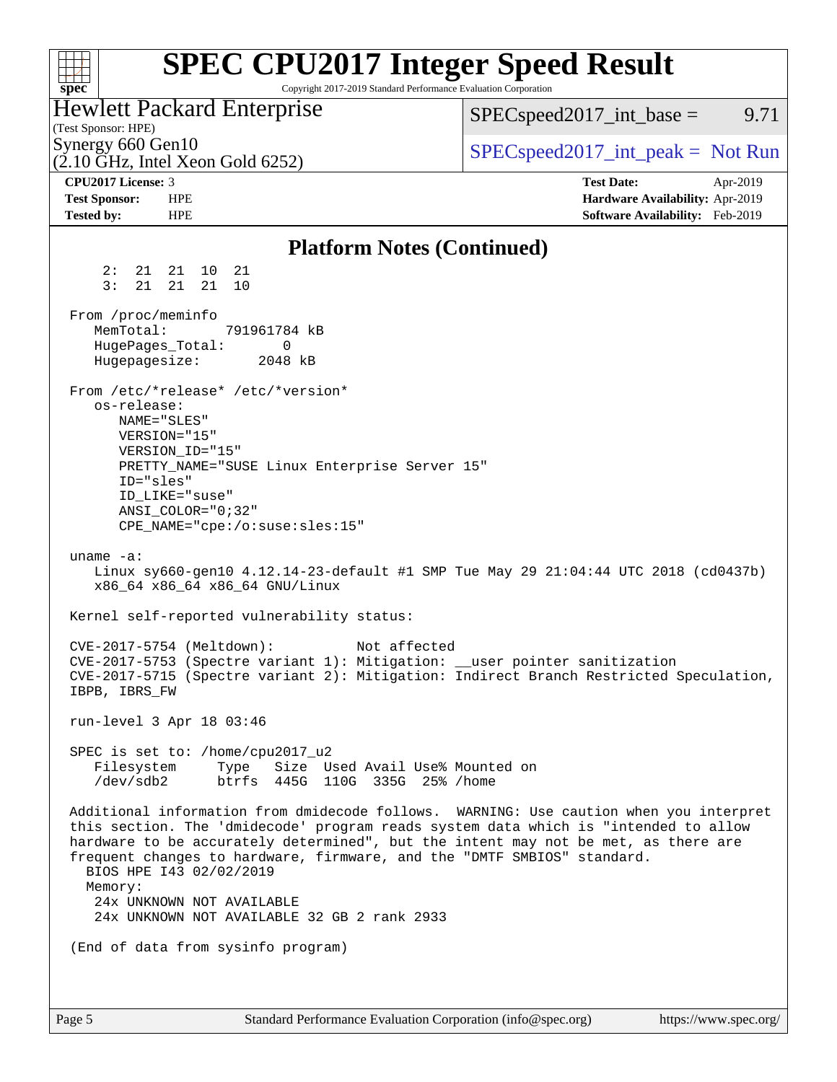| <b>SPEC CPU2017 Integer Speed Result</b><br>Copyright 2017-2019 Standard Performance Evaluation Corporation<br>$spec^*$                                                                                                                                                                                                                                                                                                                                          |                                                                                                     |
|------------------------------------------------------------------------------------------------------------------------------------------------------------------------------------------------------------------------------------------------------------------------------------------------------------------------------------------------------------------------------------------------------------------------------------------------------------------|-----------------------------------------------------------------------------------------------------|
| <b>Hewlett Packard Enterprise</b><br>(Test Sponsor: HPE)                                                                                                                                                                                                                                                                                                                                                                                                         | $SPEC speed2017\_int\_base =$<br>9.71                                                               |
| Synergy 660 Gen10<br>$(2.10 \text{ GHz}, \text{Intel Xeon Gold } 6252)$                                                                                                                                                                                                                                                                                                                                                                                          | $SPEC speed2017\_int\_peak = Not Run$                                                               |
| CPU2017 License: 3<br><b>Test Sponsor:</b><br><b>HPE</b><br><b>HPE</b><br><b>Tested by:</b>                                                                                                                                                                                                                                                                                                                                                                      | <b>Test Date:</b><br>Apr-2019<br>Hardware Availability: Apr-2019<br>Software Availability: Feb-2019 |
| <b>Platform Notes (Continued)</b>                                                                                                                                                                                                                                                                                                                                                                                                                                |                                                                                                     |
| 2:<br>21   21<br>10<br>21<br>3:<br>21<br>21<br>21<br>10                                                                                                                                                                                                                                                                                                                                                                                                          |                                                                                                     |
| From /proc/meminfo<br>MemTotal:<br>791961784 kB<br>HugePages_Total:<br>0<br>Hugepagesize:<br>2048 kB                                                                                                                                                                                                                                                                                                                                                             |                                                                                                     |
| From /etc/*release* /etc/*version*<br>os-release:<br>NAME="SLES"<br>VERSION="15"<br>VERSION ID="15"<br>PRETTY_NAME="SUSE Linux Enterprise Server 15"<br>ID="sles"<br>ID LIKE="suse"<br>ANSI COLOR="0;32"<br>CPE_NAME="cpe:/o:suse:sles:15"                                                                                                                                                                                                                       |                                                                                                     |
| uname $-a$ :<br>Linux sy660-gen10 4.12.14-23-default #1 SMP Tue May 29 21:04:44 UTC 2018 (cd0437b)<br>x86_64 x86_64 x86_64 GNU/Linux                                                                                                                                                                                                                                                                                                                             |                                                                                                     |
| Kernel self-reported vulnerability status:                                                                                                                                                                                                                                                                                                                                                                                                                       |                                                                                                     |
| CVE-2017-5754 (Meltdown):<br>Not affected<br>CVE-2017-5753 (Spectre variant 1): Mitigation: __user pointer sanitization<br>CVE-2017-5715 (Spectre variant 2): Mitigation: Indirect Branch Restricted Speculation,<br>IBPB, IBRS FW                                                                                                                                                                                                                               |                                                                                                     |
| run-level 3 Apr 18 03:46                                                                                                                                                                                                                                                                                                                                                                                                                                         |                                                                                                     |
| SPEC is set to: /home/cpu2017_u2<br>Size Used Avail Use% Mounted on<br>Filesystem<br>Type<br>/dev/sdb2<br>btrfs 445G 110G 335G 25% / home                                                                                                                                                                                                                                                                                                                        |                                                                                                     |
| Additional information from dmidecode follows. WARNING: Use caution when you interpret<br>this section. The 'dmidecode' program reads system data which is "intended to allow<br>hardware to be accurately determined", but the intent may not be met, as there are<br>frequent changes to hardware, firmware, and the "DMTF SMBIOS" standard.<br>BIOS HPE 143 02/02/2019<br>Memory:<br>24x UNKNOWN NOT AVAILABLE<br>24x UNKNOWN NOT AVAILABLE 32 GB 2 rank 2933 |                                                                                                     |
| (End of data from sysinfo program)                                                                                                                                                                                                                                                                                                                                                                                                                               |                                                                                                     |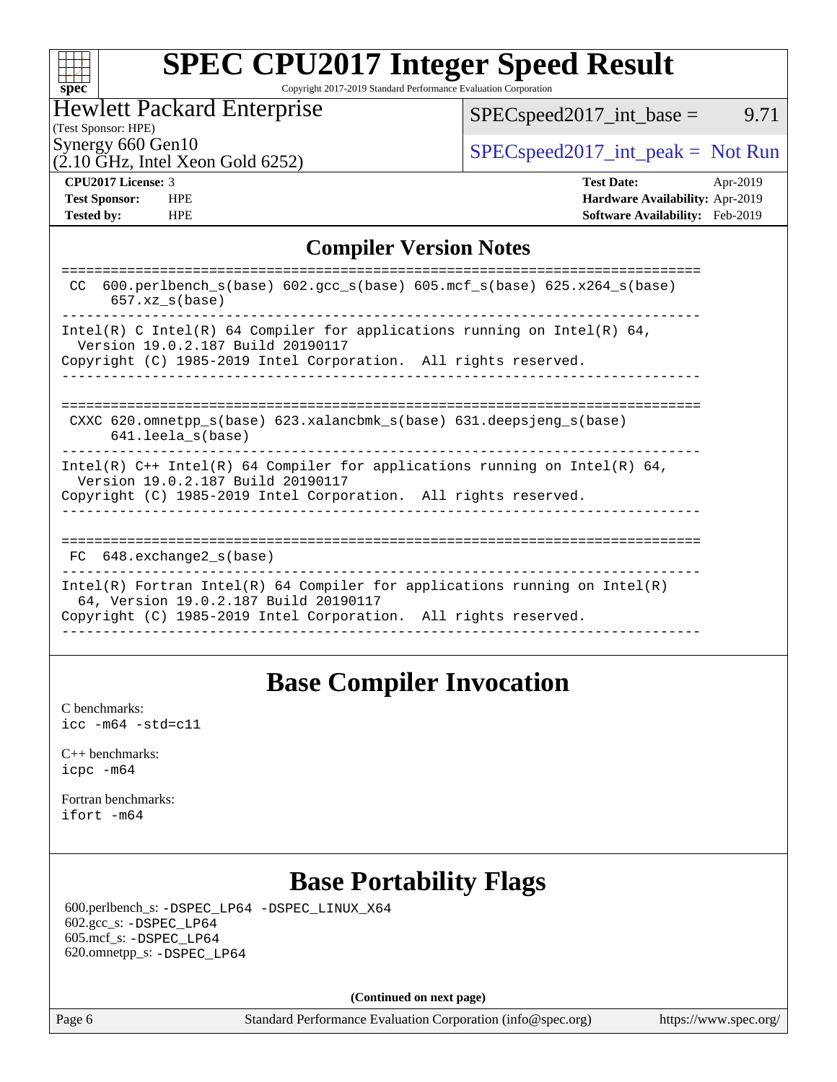|  | spe | C |  |
|--|-----|---|--|

# **[SPEC CPU2017 Integer Speed Result](http://www.spec.org/auto/cpu2017/Docs/result-fields.html#SPECCPU2017IntegerSpeedResult)**

Copyright 2017-2019 Standard Performance Evaluation Corporation

### Hewlett Packard Enterprise

 $SPEC speed2017\_int\_base =$  9.71

(Test Sponsor: HPE)

 $(2.10 \text{ GHz}, \text{Intel Xeon Gold } 6252)$ 

Synergy 660 Gen10<br>  $SPEC speed2017\_int\_peak = Not Run$ 

**[Tested by:](http://www.spec.org/auto/cpu2017/Docs/result-fields.html#Testedby)** HPE **[Software Availability:](http://www.spec.org/auto/cpu2017/Docs/result-fields.html#SoftwareAvailability)** Feb-2019

**[CPU2017 License:](http://www.spec.org/auto/cpu2017/Docs/result-fields.html#CPU2017License)** 3 **[Test Date:](http://www.spec.org/auto/cpu2017/Docs/result-fields.html#TestDate)** Apr-2019 **[Test Sponsor:](http://www.spec.org/auto/cpu2017/Docs/result-fields.html#TestSponsor)** HPE **[Hardware Availability:](http://www.spec.org/auto/cpu2017/Docs/result-fields.html#HardwareAvailability)** Apr-2019

### **[Compiler Version Notes](http://www.spec.org/auto/cpu2017/Docs/result-fields.html#CompilerVersionNotes)**

### **[Base Compiler Invocation](http://www.spec.org/auto/cpu2017/Docs/result-fields.html#BaseCompilerInvocation)**

[C benchmarks](http://www.spec.org/auto/cpu2017/Docs/result-fields.html#Cbenchmarks): [icc -m64 -std=c11](http://www.spec.org/cpu2017/results/res2019q2/cpu2017-20190430-13487.flags.html#user_CCbase_intel_icc_64bit_c11_33ee0cdaae7deeeab2a9725423ba97205ce30f63b9926c2519791662299b76a0318f32ddfffdc46587804de3178b4f9328c46fa7c2b0cd779d7a61945c91cd35)

[C++ benchmarks:](http://www.spec.org/auto/cpu2017/Docs/result-fields.html#CXXbenchmarks) [icpc -m64](http://www.spec.org/cpu2017/results/res2019q2/cpu2017-20190430-13487.flags.html#user_CXXbase_intel_icpc_64bit_4ecb2543ae3f1412ef961e0650ca070fec7b7afdcd6ed48761b84423119d1bf6bdf5cad15b44d48e7256388bc77273b966e5eb805aefd121eb22e9299b2ec9d9)

[Fortran benchmarks](http://www.spec.org/auto/cpu2017/Docs/result-fields.html#Fortranbenchmarks): [ifort -m64](http://www.spec.org/cpu2017/results/res2019q2/cpu2017-20190430-13487.flags.html#user_FCbase_intel_ifort_64bit_24f2bb282fbaeffd6157abe4f878425411749daecae9a33200eee2bee2fe76f3b89351d69a8130dd5949958ce389cf37ff59a95e7a40d588e8d3a57e0c3fd751)

### **[Base Portability Flags](http://www.spec.org/auto/cpu2017/Docs/result-fields.html#BasePortabilityFlags)**

 600.perlbench\_s: [-DSPEC\\_LP64](http://www.spec.org/cpu2017/results/res2019q2/cpu2017-20190430-13487.flags.html#b600.perlbench_s_basePORTABILITY_DSPEC_LP64) [-DSPEC\\_LINUX\\_X64](http://www.spec.org/cpu2017/results/res2019q2/cpu2017-20190430-13487.flags.html#b600.perlbench_s_baseCPORTABILITY_DSPEC_LINUX_X64) 602.gcc\_s: [-DSPEC\\_LP64](http://www.spec.org/cpu2017/results/res2019q2/cpu2017-20190430-13487.flags.html#suite_basePORTABILITY602_gcc_s_DSPEC_LP64) 605.mcf\_s: [-DSPEC\\_LP64](http://www.spec.org/cpu2017/results/res2019q2/cpu2017-20190430-13487.flags.html#suite_basePORTABILITY605_mcf_s_DSPEC_LP64) 620.omnetpp\_s: [-DSPEC\\_LP64](http://www.spec.org/cpu2017/results/res2019q2/cpu2017-20190430-13487.flags.html#suite_basePORTABILITY620_omnetpp_s_DSPEC_LP64)

**(Continued on next page)**

Page 6 Standard Performance Evaluation Corporation [\(info@spec.org\)](mailto:info@spec.org) <https://www.spec.org/>